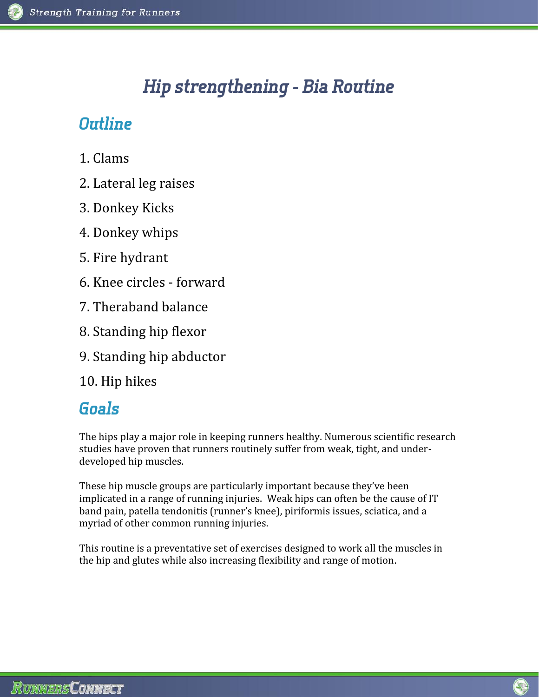# *Hip strengthening - Bia Routine*

### *Outline*

- 1. Clams
- 2. Lateral leg raises
- 3. Donkey Kicks
- 4. Donkey whips
- 5. Fire hydrant
- 6. Knee circles forward
- 7. Theraband balance
- 8. Standing hip flexor
- 9. Standing hip abductor
- 10. Hip hikes

# *Goals*

The hips play a major role in keeping runners healthy. Numerous scientific research studies have proven that runners routinely suffer from weak, tight, and under developed hip muscles.

These hip muscle groups are particularly important because they've been implicated in a range of running injuries. Weak hips can often be the cause of IT band pain, patella tendonitis (runner's knee), piriformis issues, sciatica, and a myriad of other common running injuries.

This routine is a preventative set of exercises designed to work all the muscles in the hip and glutes while also increasing flexibility and range of motion.

G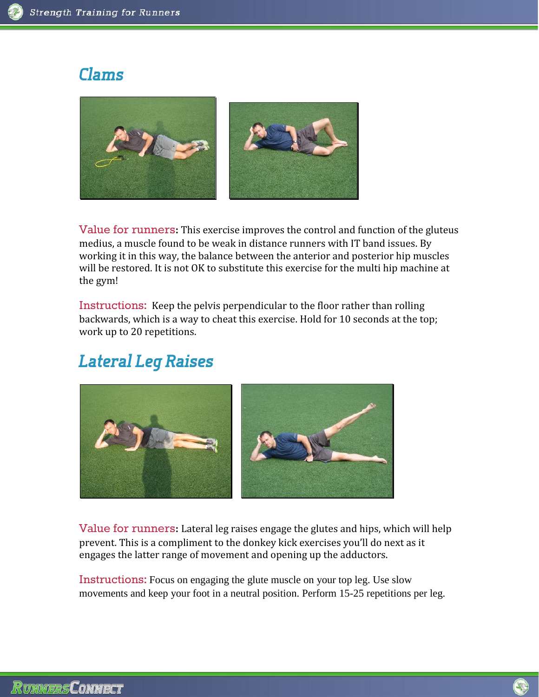### *Clams*



Value for runners**:** This exercise improves the control and function of the gluteus medius, a muscle found to be weak in distance runners with IT band issues. By working it in this way, the balance between the anterior and posterior hip muscles will be restored. It is not OK to substitute this exercise for the multi hip machine at the gym!

Instructions: Keep the pelvis perpendicular to the floor rather than rolling backwards, which is a way to cheat this exercise. Hold for 10 seconds at the top; work up to 20 repetitions.

# *Lateral Leg Raises*



Value for runners**:** Lateral leg raises engage the glutes and hips, which will help prevent. This is a compliment to the donkey kick exercises you'll do next as it engages the latter range of movement and opening up the adductors.

Instructions: Focus on engaging the glute muscle on your top leg. Use slow movements and keep your foot in a neutral position. Perform 15-25 repetitions per leg.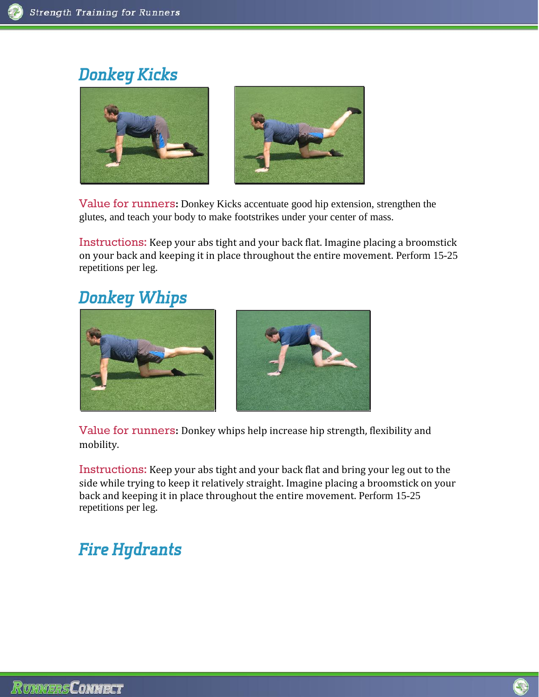## *Donkey Kicks*



Value for runners**:** Donkey Kicks accentuate good hip extension, strengthen the glutes, and teach your body to make footstrikes under your center of mass.

Instructions: Keep your abs tight and your back flat. Imagine placing a broomstick on your back and keeping it in place throughout the entire movement. Perform 15-25 repetitions per leg.

#### *Donkey Whips*





Value for runners**:** Donkey whips help increase hip strength, flexibility and mobility.

Instructions: Keep your abs tight and your back flat and bring your leg out to the side while trying to keep it relatively straight. Imagine placing a broomstick on your back and keeping it in place throughout the entire movement. Perform 15-25 repetitions per leg.

# *Fire Hydrants*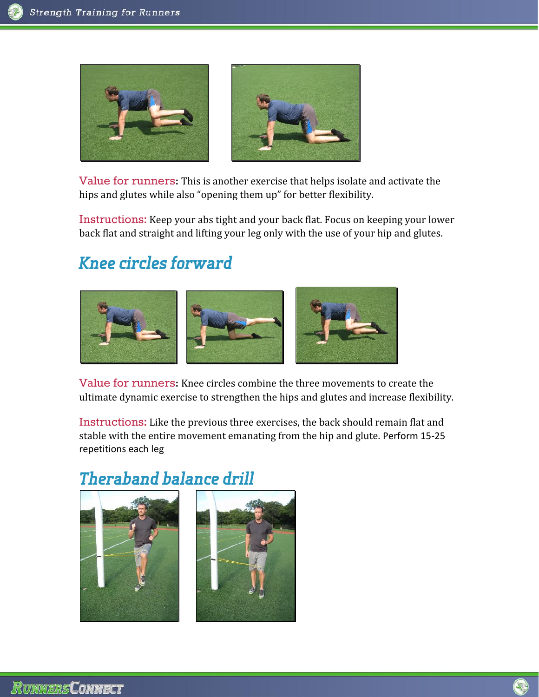

Value for runners**:** This is another exercise that helps isolate and activate the hips and glutes while also "opening them up" for better flexibility.

Instructions: Keep your abs tight and your back flat. Focus on keeping your lower back flat and straight and lifting your leg only with the use of your hip and glutes.

# *Knee circles forward*



Value for runners**:** Knee circles combine the three movements to create the ultimate dynamic exercise to strengthen the hips and glutes and increase flexibility.

Instructions: Like the previous three exercises, the back should remain flat and stable with the entire movement emanating from the hip and glute. Perform 15-25 repetitions each leg

# *Theraband balance drill*



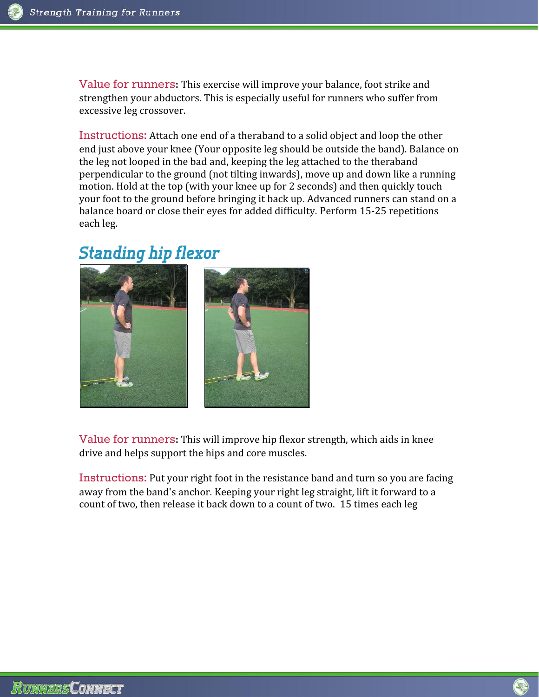Value for runners**:** This exercise will improve your balance, foot strike and strengthen your abductors. This is especially useful for runners who suffer from excessive leg crossover.

Instructions: Attach one end of a theraband to a solid object and loop the other end just above your knee (Your opposite leg should be outside the band). Balance on the leg not looped in the bad and, keeping the leg attached to the theraband perpendicular to the ground (not tilting inwards), move up and down like a running motion. Hold at the top (with your knee up for 2 seconds) and then quickly touch your foot to the ground before bringing it back up. Advanced runners can stand on a balance board or close their eyes for added difficulty. Perform 15-25 repetitions each leg.

#### *Standing hip flexor*



Value for runners**:** This will improve hip flexor strength, which aids in knee drive and helps support the hips and core muscles.

Instructions: Put your right foot in the resistance band and turn so you are facing away from the band's anchor. Keeping your right leg straight, lift it forward to a count of two, then release it back down to a count of two. 15 times each leg